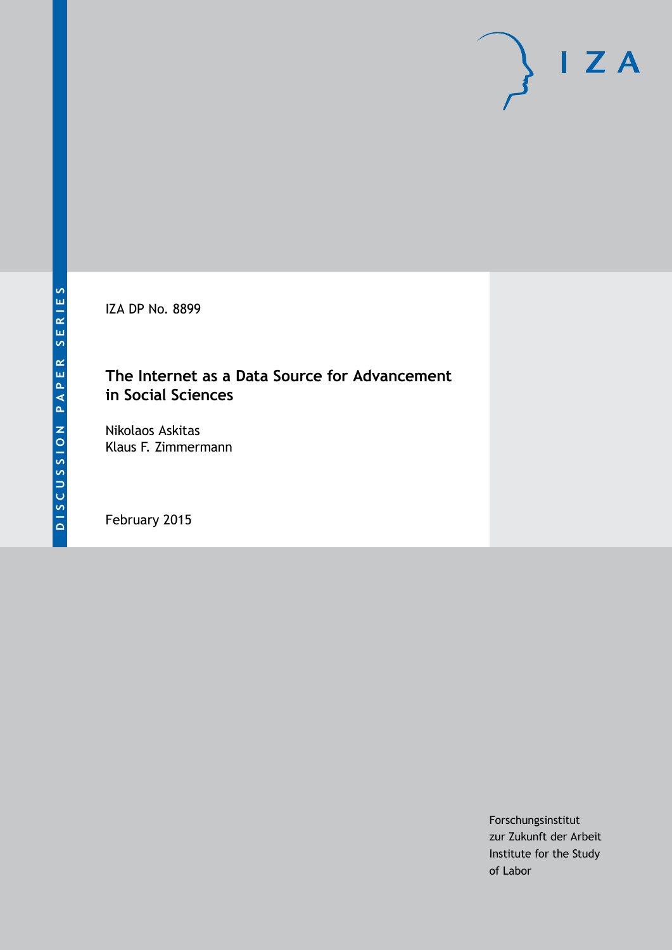IZA DP No. 8899

## **The Internet as a Data Source for Advancement in Social Sciences**

Nikolaos Askitas Klaus F. Zimmermann

February 2015

Forschungsinstitut zur Zukunft der Arbeit Institute for the Study of Labor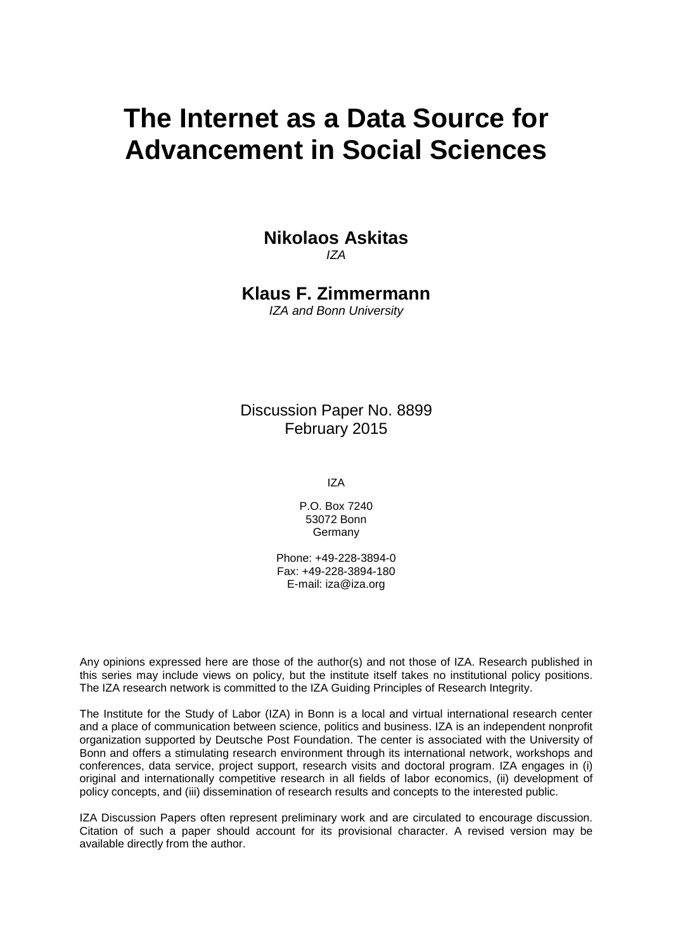# **The Internet as a Data Source for Advancement in Social Sciences**

**Nikolaos Askitas** *IZA*

**Klaus F. Zimmermann**

*IZA and Bonn University*

Discussion Paper No. 8899 February 2015

IZA

P.O. Box 7240 53072 Bonn **Germany** 

Phone: +49-228-3894-0 Fax: +49-228-3894-180 E-mail: [iza@iza.org](mailto:iza@iza.org)

Any opinions expressed here are those of the author(s) and not those of IZA. Research published in this series may include views on policy, but the institute itself takes no institutional policy positions. The IZA research network is committed to the IZA Guiding Principles of Research Integrity.

The Institute for the Study of Labor (IZA) in Bonn is a local and virtual international research center and a place of communication between science, politics and business. IZA is an independent nonprofit organization supported by Deutsche Post Foundation. The center is associated with the University of Bonn and offers a stimulating research environment through its international network, workshops and conferences, data service, project support, research visits and doctoral program. IZA engages in (i) original and internationally competitive research in all fields of labor economics, (ii) development of policy concepts, and (iii) dissemination of research results and concepts to the interested public.

<span id="page-1-0"></span>IZA Discussion Papers often represent preliminary work and are circulated to encourage discussion. Citation of such a paper should account for its provisional character. A revised version may be available directly from the author.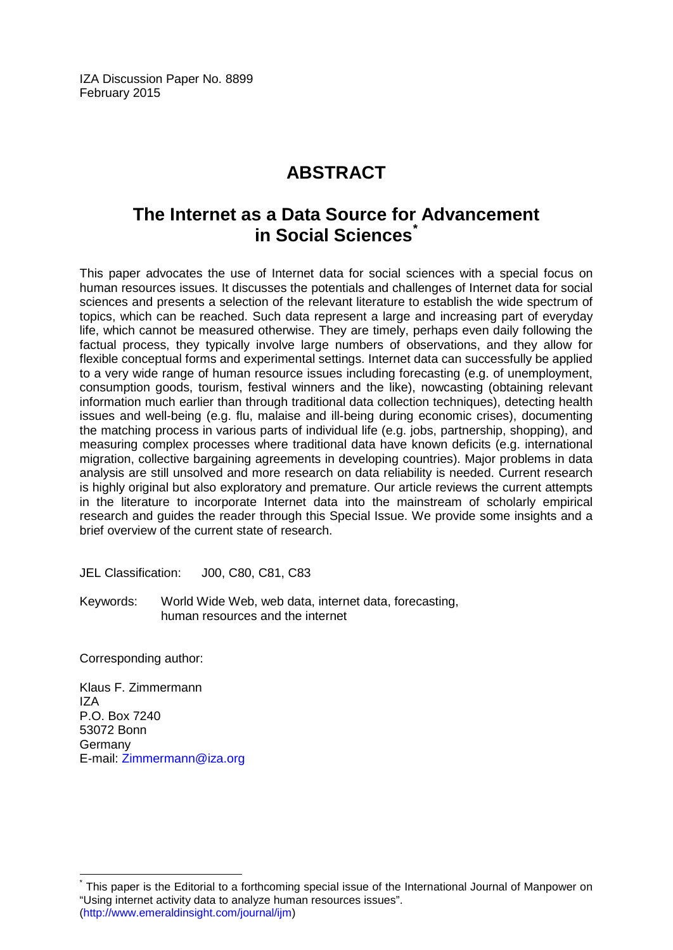IZA Discussion Paper No. 8899 February 2015

# **ABSTRACT**

# **The Internet as a Data Source for Advancement in Social Sciences[\\*](#page-1-0)**

This paper advocates the use of Internet data for social sciences with a special focus on human resources issues. It discusses the potentials and challenges of Internet data for social sciences and presents a selection of the relevant literature to establish the wide spectrum of topics, which can be reached. Such data represent a large and increasing part of everyday life, which cannot be measured otherwise. They are timely, perhaps even daily following the factual process, they typically involve large numbers of observations, and they allow for flexible conceptual forms and experimental settings. Internet data can successfully be applied to a very wide range of human resource issues including forecasting (e.g. of unemployment, consumption goods, tourism, festival winners and the like), nowcasting (obtaining relevant information much earlier than through traditional data collection techniques), detecting health issues and well-being (e.g. flu, malaise and ill-being during economic crises), documenting the matching process in various parts of individual life (e.g. jobs, partnership, shopping), and measuring complex processes where traditional data have known deficits (e.g. international migration, collective bargaining agreements in developing countries). Major problems in data analysis are still unsolved and more research on data reliability is needed. Current research is highly original but also exploratory and premature. Our article reviews the current attempts in the literature to incorporate Internet data into the mainstream of scholarly empirical research and guides the reader through this Special Issue. We provide some insights and a brief overview of the current state of research.

JEL Classification: J00, C80, C81, C83

Keywords: World Wide Web, web data, internet data, forecasting, human resources and the internet

Corresponding author:

Klaus F. Zimmermann IZA P.O. Box 7240 53072 Bonn Germany E-mail: [Zimmermann@iza.org](mailto:Zimmermann@iza.org)

\* This paper is the Editorial to a forthcoming special issue of the International Journal of Manpower on "Using internet activity data to analyze human resources issues". [\(http://www.emeraldinsight.com/journal/ijm\)](http://www.emeraldinsight.com/journal/ijm)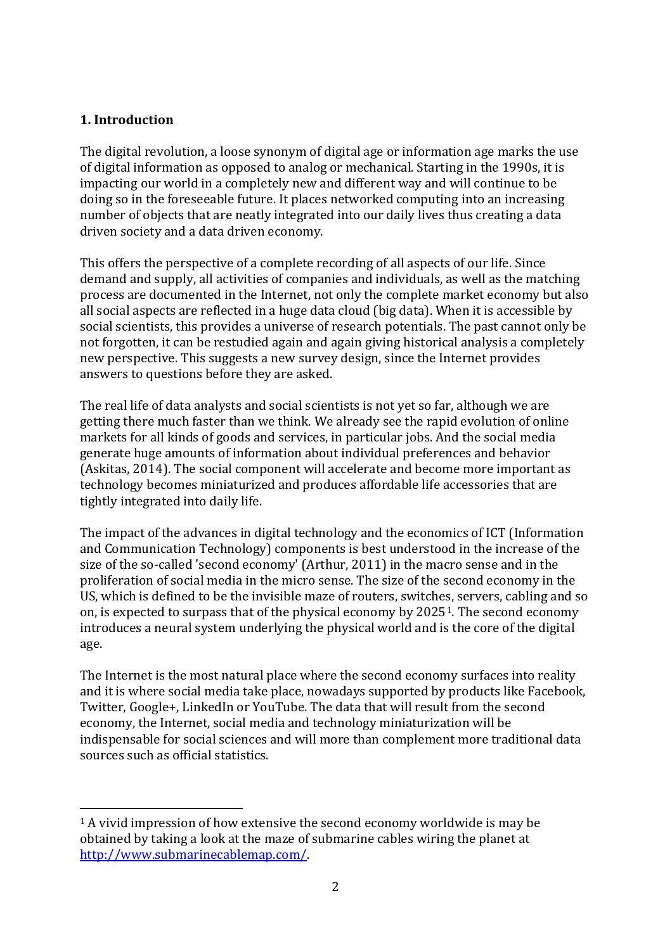#### **1. Introduction**

The digital revolution, a loose synonym of digital age or information age marks the use of digital information as opposed to analog or mechanical. Starting in the 1990s, it is impacting our world in a completely new and different way and will continue to be doing so in the foreseeable future. It places networked computing into an increasing number of objects that are neatly integrated into our daily lives thus creating a data driven society and a data driven economy.

This offers the perspective of a complete recording of all aspects of our life. Since demand and supply, all activities of companies and individuals, as well as the matching process are documented in the Internet, not only the complete market economy but also all social aspects are reflected in a huge data cloud (big data). When it is accessible by social scientists, this provides a universe of research potentials. The past cannot only be not forgotten, it can be restudied again and again giving historical analysis a completely new perspective. This suggests a new survey design, since the Internet provides answers to questions before they are asked.

The real life of data analysts and social scientists is not yet so far, although we are getting there much faster than we think. We already see the rapid evolution of online markets for all kinds of goods and services, in particular jobs. And the social media generate huge amounts of information about individual preferences and behavior (Askitas, 2014). The social component will accelerate and become more important as technology becomes miniaturized and produces affordable life accessories that are tightly integrated into daily life.

The impact of the advances in digital technology and the economics of ICT (Information and Communication Technology) components is best understood in the increase of the size of the so-called 'second economy' (Arthur, 2011) in the macro sense and in the proliferation of social media in the micro sense. The size of the second economy in the US, which is defined to be the invisible maze of routers, switches, servers, cabling and so on, is expected to surpass that of the physical economy by 2025[1](#page-3-0). The second economy introduces a neural system underlying the physical world and is the core of the digital age.

The Internet is the most natural place where the second economy surfaces into reality and it is where social media take place, nowadays supported by products like Facebook, Twitter, Google+, LinkedIn or YouTube. The data that will result from the second economy, the Internet, social media and technology miniaturization will be indispensable for social sciences and will more than complement more traditional data sources such as official statistics.

<span id="page-3-1"></span><span id="page-3-0"></span><sup>&</sup>lt;sup>1</sup> A vivid impression of how extensive the second economy worldwide is may be obtained by taking a look at the maze of submarine cables wiring the planet at [http://www.submarinecablemap.com/.](http://www.submarinecablemap.com/)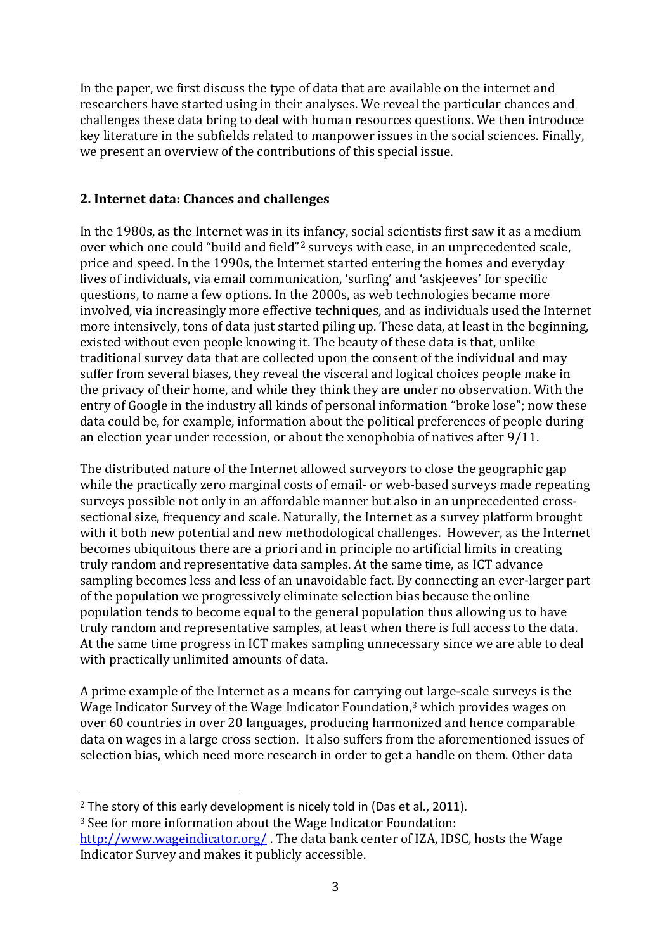In the paper, we first discuss the type of data that are available on the internet and researchers have started using in their analyses. We reveal the particular chances and challenges these data bring to deal with human resources questions. We then introduce key literature in the subfields related to manpower issues in the social sciences. Finally, we present an overview of the contributions of this special issue.

#### **2. Internet data: Chances and challenges**

In the 1980s, as the Internet was in its [i](#page-3-1)nfancy, social scientists first saw it as a medium over which one could "build and field"2 surveys with ease, in an unprecedented scale, price and speed. In the 1990s, the Internet started entering the homes and everyday lives of individuals, via email communication, 'surfing' and 'askjeeves' for specific questions, to name a few options. In the 2000s, as web technologies became more involved, via increasingly more effective techniques, and as individuals used the Internet more intensively, tons of data just started piling up. These data, at least in the beginning, existed without even people knowing it. The beauty of these data is that, unlike traditional survey data that are collected upon the consent of the individual and may suffer from several biases, they reveal the visceral and logical choices people make in the privacy of their home, and while they think they are under no observation. With the entry of Google in the industry all kinds of personal information "broke lose"; now these data could be, for example, information about the political preferences of people during an election year under recession, or about the xenophobia of natives after 9/11.

The distributed nature of the Internet allowed surveyors to close the geographic gap while the practically zero marginal costs of email- or web-based surveys made repeating surveys possible not only in an affordable manner but also in an unprecedented crosssectional size, frequency and scale. Naturally, the Internet as a survey platform brought with it both new potential and new methodological challenges. However, as the Internet becomes ubiquitous there are a priori and in principle no artificial limits in creating truly random and representative data samples. At the same time, as ICT advance sampling becomes less and less of an unavoidable fact. By connecting an ever-larger part of the population we progressively eliminate selection bias because the online population tends to become equal to the general population thus allowing us to have truly random and representative samples, at least when there is full access to the data. At the same time progress in ICT makes sampling unnecessary since we are able to deal with practically unlimited amounts of data.

A prime example of the Internet as a means for carrying o[u](#page-4-0)t large-scale surveys is the Wage Indicator Survey of the Wage Indicator Foundation,3 which provides wages on over 60 countries in over 20 languages, producing harmonized and hence comparable data on wages in a large cross section. It also suffers from the aforementioned issues of selection bias, which need more research in order to get a handle on them. Other data

 $2$  The story of this early development is nicely told in (Das et al., 2011).

<span id="page-4-0"></span><sup>3</sup> See for more information about the Wage Indicator Foundation:

<span id="page-4-1"></span><http://www.wageindicator.org/> . The data bank center of IZA, IDSC, hosts the Wage Indicator Survey and makes it publicly accessible.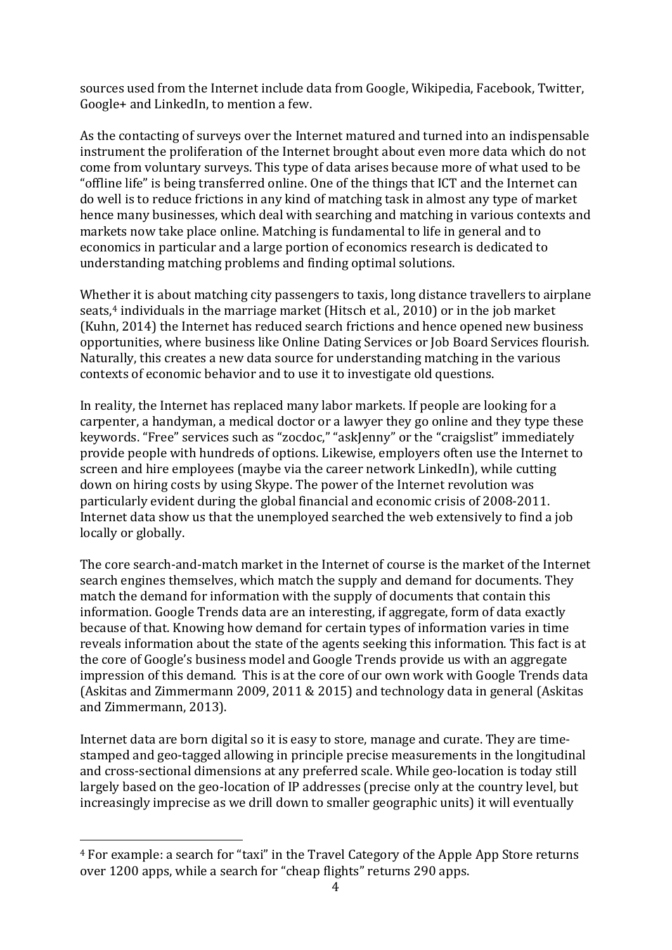sources used from the Internet include data from Google, Wikipedia, Facebook, Twitter, Google+ and LinkedIn, to mention a few.

As the contacting of surveys over the Internet matured and turned into an indispensable instrument the proliferation of the Internet brought about even more data which do not come from voluntary surveys. This type of data arises because more of what used to be "offline life" is being transferred online. One of the things that ICT and the Internet can do well is to reduce frictions in any kind of matching task in almost any type of market hence many businesses, which deal with searching and matching in various contexts and markets now take place online. Matching is fundamental to life in general and to economics in particular and a large portion of economics research is dedicated to understanding matching problems and finding optimal solutions.

Whet[h](#page-4-1)er it is about matching city passengers to taxis, long distance travellers to airplane seats, <sup>4</sup> individuals in the marriage market (Hitsch et al., 2010) or in the job market (Kuhn, 2014) the Internet has reduced search frictions and hence opened new business opportunities, where business like Online Dating Services or Job Board Services flourish. Naturally, this creates a new data source for understanding matching in the various contexts of economic behavior and to use it to investigate old questions.

In reality, the Internet has replaced many labor markets. If people are looking for a carpenter, a handyman, a medical doctor or a lawyer they go online and they type these keywords. "Free" services such as "zocdoc," "askJenny" or the "craigslist" immediately provide people with hundreds of options. Likewise, employers often use the Internet to screen and hire employees (maybe via the career network LinkedIn), while cutting down on hiring costs by using Skype. The power of the Internet revolution was particularly evident during the global financial and economic crisis of 2008-2011. Internet data show us that the unemployed searched the web extensively to find a job locally or globally.

The core search-and-match market in the Internet of course is the market of the Internet search engines themselves, which match the supply and demand for documents. They match the demand for information with the supply of documents that contain this information. Google Trends data are an interesting, if aggregate, form of data exactly because of that. Knowing how demand for certain types of information varies in time reveals information about the state of the agents seeking this information. This fact is at the core of Google's business model and Google Trends provide us with an aggregate impression of this demand. This is at the core of our own work with Google Trends data (Askitas and Zimmermann 2009, 2011 & 2015) and technology data in general (Askitas and Zimmermann, 2013).

Internet data are born digital so it is easy to store, manage and curate. They are timestamped and geo-tagged allowing in principle precise measurements in the longitudinal and cross-sectional dimensions at any preferred scale. While geo-location is today still largely based on the geo-location of IP addresses (precise only at the country level, but increasingly imprecise as we drill down to smaller geographic units) it will eventually

<span id="page-5-0"></span> <sup>4</sup> For example: a search for "taxi" in the Travel Category of the Apple App Store returns over 1200 apps, while a search for "cheap flights" returns 290 apps.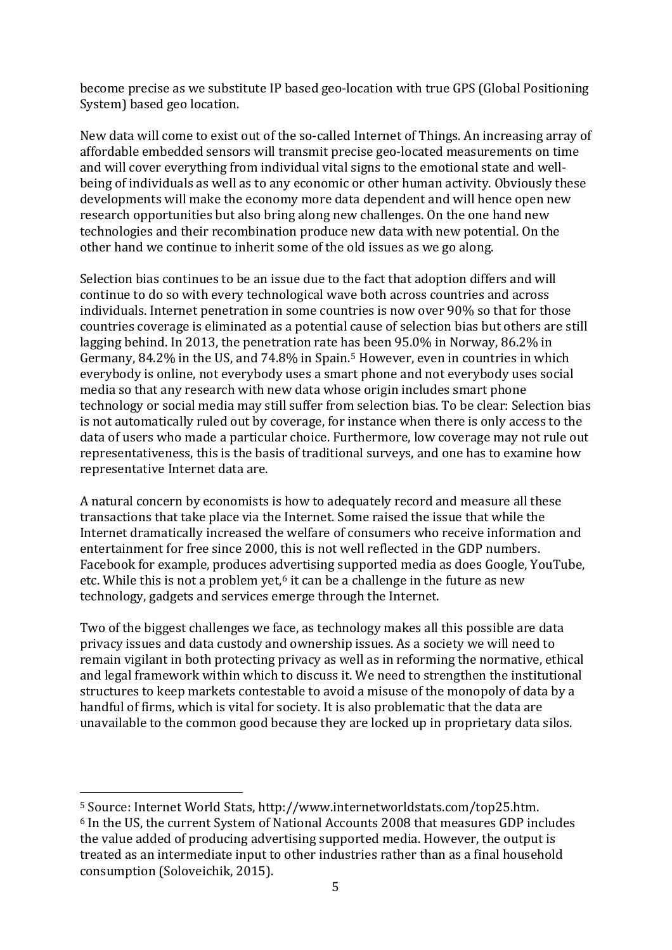become precise as we substitute IP based geo-location with true GPS (Global Positioning System) based geo location.

New data will come to exist out of the so-called Internet of Things. An increasing array of affordable embedded sensors will transmit precise geo-located measurements on time and will cover everything from individual vital signs to the emotional state and wellbeing of individuals as well as to any economic or other human activity. Obviously these developments will make the economy more data dependent and will hence open new research opportunities but also bring along new challenges. On the one hand new technologies and their recombination produce new data with new potential. On the other hand we continue to inherit some of the old issues as we go along.

Selection bias continues to be an issue due to the fact that adoption differs and will continue to do so with every technological wave both across countries and across individuals. Internet penetration in some countries is now over 90% so that for those countries coverage is eliminated as a potential cause of selection bias but others are still lagging behind. In 2013, the penetration rate has been 95.0% in Norway, 86.2% in Germany, 84.2% in the US, and 74.8% in Spain.[5](#page-5-0) However, even in countries in which everybody is online, not everybody uses a smart phone and not everybody uses social media so that any research with new data whose origin includes smart phone technology or social media may still suffer from selection bias. To be clear: Selection bias is not automatically ruled out by coverage, for instance when there is only access to the data of users who made a particular choice. Furthermore, low coverage may not rule out representativeness, this is the basis of traditional surveys, and one has to examine how representative Internet data are.

A natural concern by economists is how to adequately record and measure all these transactions that take place via the Internet. Some raised the issue that while the Internet dramatically increased the welfare of consumers who receive information and entertainment for free since 2000, this is not well reflected in the GDP numbers. Facebook for example, produces advertising supported media as does Google, YouTube, etc. While this is not a problem yet,<sup>[6](#page-6-0)</sup> it can be a challenge in the future as new technology, gadgets and services emerge through the Internet.

Two of the biggest challenges we face, as technology makes all this possible are data privacy issues and data custody and ownership issues. As a society we will need to remain vigilant in both protecting privacy as well as in reforming the normative, ethical and legal framework within which to discuss it. We need to strengthen the institutional structures to keep markets contestable to avoid a misuse of the monopoly of data by a handful of firms, which is vital for society. It is also problematic that the data are unavailable to the common good because they are locked up in proprietary data silos.

<span id="page-6-1"></span><span id="page-6-0"></span><sup>&</sup>lt;sup>5</sup> Source: Internet World Stats, http://www.internetworldstats.com/top25.htm.<br><sup>6</sup> In the US, the current System of National Accounts 2008 that measures GDP includes the value added of producing advertising supported media. However, the output is treated as an intermediate input to other industries rather than as a final household consumption (Soloveichik, 2015).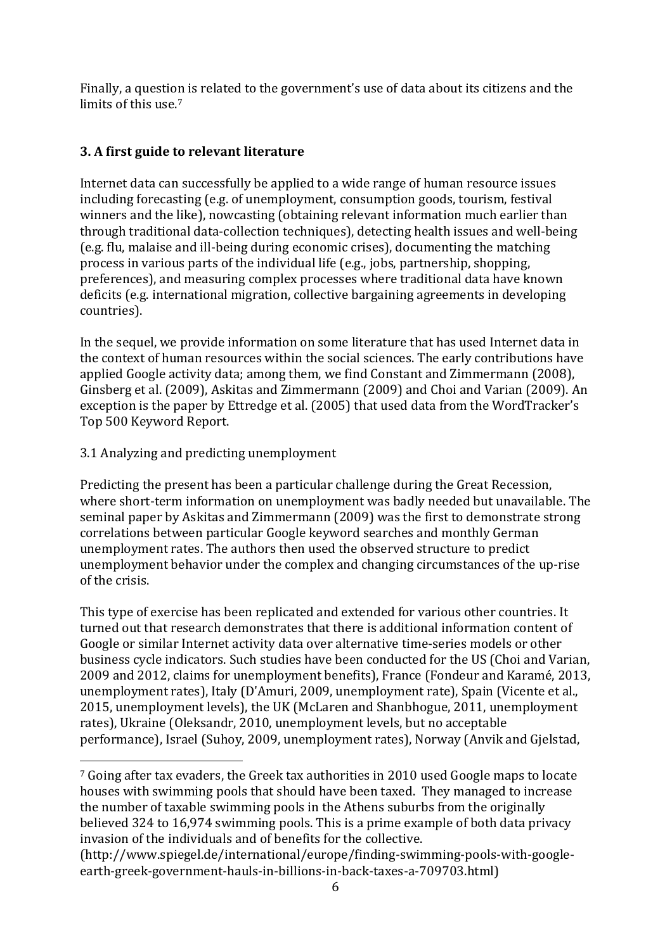Finally, a question is related to the government's use of data about its citizens and the limits of this use.[7](#page-6-1)

## **3. A first guide to relevant literature**

Internet data can successfully be applied to a wide range of human resource issues including forecasting (e.g. of unemployment, consumption goods, tourism, festival winners and the like), nowcasting (obtaining relevant information much earlier than through traditional data-collection techniques), detecting health issues and well-being (e.g. flu, malaise and ill-being during economic crises), documenting the matching process in various parts of the individual life (e.g., jobs, partnership, shopping, preferences), and measuring complex processes where traditional data have known deficits (e.g. international migration, collective bargaining agreements in developing countries).

In the sequel, we provide information on some literature that has used Internet data in the context of human resources within the social sciences. The early contributions have applied Google activity data; among them, we find Constant and Zimmermann (2008), Ginsberg et al. (2009), Askitas and Zimmermann (2009) and Choi and Varian (2009). An exception is the paper by Ettredge et al. (2005) that used data from the WordTracker's Top 500 Keyword Report.

### 3.1 Analyzing and predicting unemployment

Predicting the present has been a particular challenge during the Great Recession, where short-term information on unemployment was badly needed but unavailable. The seminal paper by Askitas and Zimmermann (2009) was the first to demonstrate strong correlations between particular Google keyword searches and monthly German unemployment rates. The authors then used the observed structure to predict unemployment behavior under the complex and changing circumstances of the up-rise of the crisis.

This type of exercise has been replicated and extended for various other countries. It turned out that research demonstrates that there is additional information content of Google or similar Internet activity data over alternative time-series models or other business cycle indicators. Such studies have been conducted for the US (Choi and Varian, 2009 and 2012, claims for unemployment benefits), France (Fondeur and Karamé, 2013, unemployment rates), Italy (D'Amuri, 2009, unemployment rate), Spain (Vicente et al., 2015, unemployment levels), the UK (McLaren and Shanbhogue, 2011, unemployment rates), Ukraine (Oleksandr, 2010, unemployment levels, but no acceptable performance), Israel (Suhoy, 2009, unemployment rates), Norway (Anvik and Gjelstad,

 <sup>7</sup> Going after tax evaders, the Greek tax authorities in 2010 used Google maps to locate houses with swimming pools that should have been taxed. They managed to increase the number of taxable swimming pools in the Athens suburbs from the originally believed 324 to 16,974 swimming pools. This is a prime example of both data privacy invasion of the individuals and of benefits for the collective.

<sup>(</sup>http://www.spiegel.de/international/europe/finding-swimming-pools-with-googleearth-greek-government-hauls-in-billions-in-back-taxes-a-709703.html)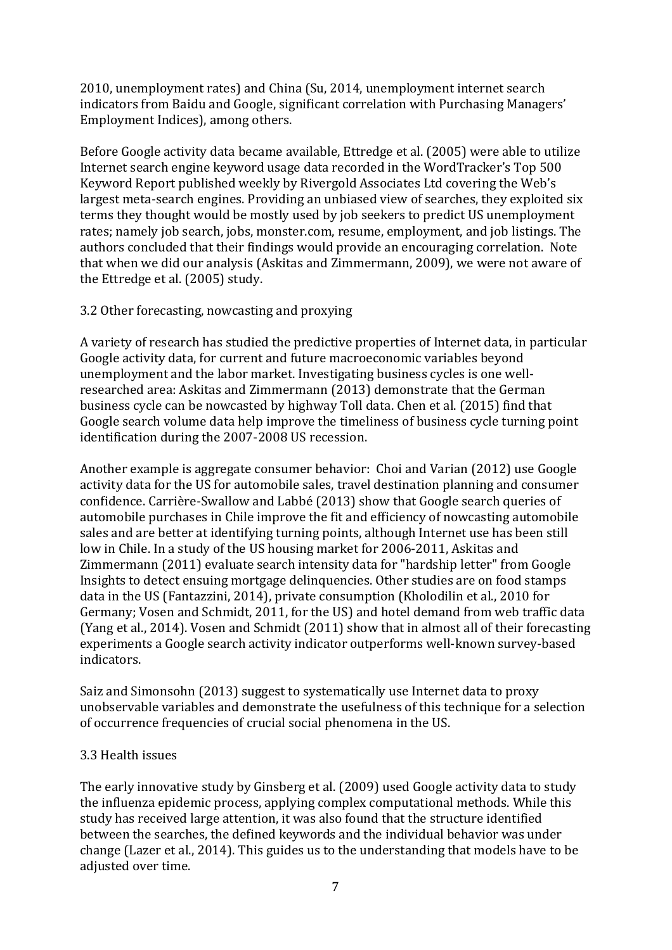2010, unemployment rates) and China (Su, 2014, unemployment internet search indicators from Baidu and Google, significant correlation with Purchasing Managers' Employment Indices), among others.

Before Google activity data became available, Ettredge et al. (2005) were able to utilize Internet search engine keyword usage data recorded in the WordTracker's Top 500 Keyword Report published weekly by Rivergold Associates Ltd covering the Web's largest meta-search engines. Providing an unbiased view of searches, they exploited six terms they thought would be mostly used by job seekers to predict US unemployment rates; namely job search, jobs, monster.com, resume, employment, and job listings. The authors concluded that their findings would provide an encouraging correlation. Note that when we did our analysis (Askitas and Zimmermann, 2009), we were not aware of the Ettredge et al. (2005) study.

#### 3.2 Other forecasting, nowcasting and proxying

A variety of research has studied the predictive properties of Internet data, in particular Google activity data, for current and future macroeconomic variables beyond unemployment and the labor market. Investigating business cycles is one wellresearched area: Askitas and Zimmermann (2013) demonstrate that the German business cycle can be nowcasted by highway Toll data. Chen et al. (2015) find that Google search volume data help improve the timeliness of business cycle turning point identification during the 2007-2008 US recession.

Another example is aggregate consumer behavior: Choi and Varian (2012) use Google activity data for the US for automobile sales, travel destination planning and consumer confidence. Carrière-Swallow and Labbé (2013) show that Google search queries of automobile purchases in Chile improve the fit and efficiency of nowcasting automobile sales and are better at identifying turning points, although Internet use has been still low in Chile. In a study of the US housing market for 2006-2011, Askitas and Zimmermann (2011) evaluate search intensity data for "hardship letter" from Google Insights to detect ensuing mortgage delinquencies. Other studies are on food stamps data in the US (Fantazzini, 2014), private consumption (Kholodilin et al., 2010 for Germany; Vosen and Schmidt, 2011, for the US) and hotel demand from web traffic data (Yang et al., 2014). Vosen and Schmidt (2011) show that in almost all of their forecasting experiments a Google search activity indicator outperforms well-known survey-based indicators.

Saiz and Simonsohn (2013) suggest to systematically use Internet data to proxy unobservable variables and demonstrate the usefulness of this technique for a selection of occurrence frequencies of crucial social phenomena in the US.

#### 3.3 Health issues

The early innovative study by Ginsberg et al. (2009) used Google activity data to study the influenza epidemic process, applying complex computational methods. While this study has received large attention, it was also found that the structure identified between the searches, the defined keywords and the individual behavior was under change (Lazer et al., 2014). This guides us to the understanding that models have to be adjusted over time.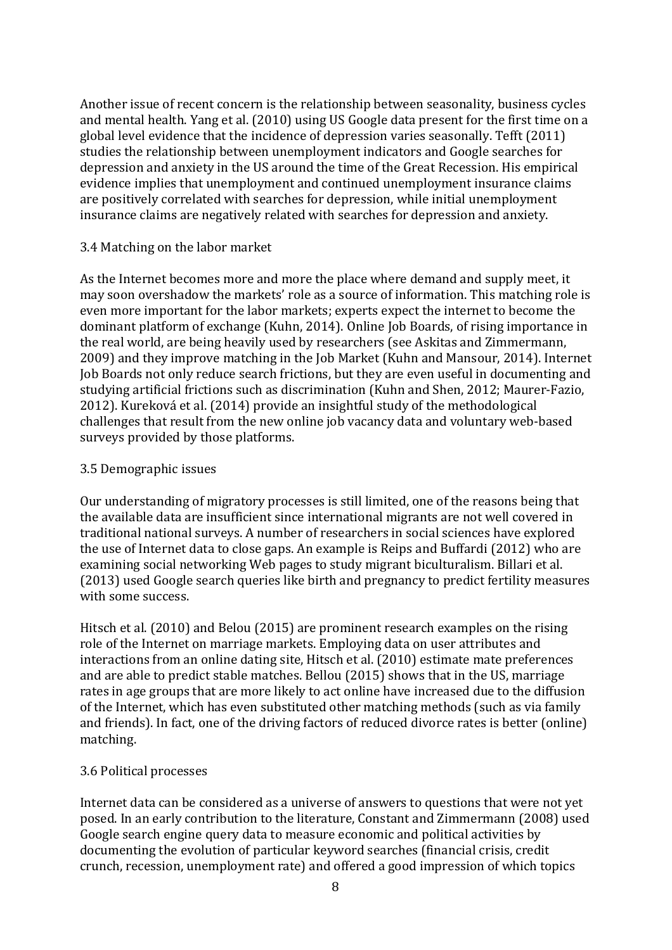Another issue of recent concern is the relationship between seasonality, business cycles and mental health. Yang et al. (2010) using US Google data present for the first time on a global level evidence that the incidence of depression varies seasonally. Tefft (2011) studies the relationship between unemployment indicators and Google searches for depression and anxiety in the US around the time of the Great Recession. His empirical evidence implies that unemployment and continued unemployment insurance claims are positively correlated with searches for depression, while initial unemployment insurance claims are negatively related with searches for depression and anxiety.

#### 3.4 Matching on the labor market

As the Internet becomes more and more the place where demand and supply meet, it may soon overshadow the markets' role as a source of information. This matching role is even more important for the labor markets; experts expect the internet to become the dominant platform of exchange (Kuhn, 2014). Online Job Boards, of rising importance in the real world, are being heavily used by researchers (see Askitas and Zimmermann, 2009) and they improve matching in the Job Market (Kuhn and Mansour, 2014). Internet Job Boards not only reduce search frictions, but they are even useful in documenting and studying artificial frictions such as discrimination (Kuhn and Shen, 2012; Maurer-Fazio, 2012). Kureková et al. (2014) provide an insightful study of the methodological challenges that result from the new online job vacancy data and voluntary web-based surveys provided by those platforms.

#### 3.5 Demographic issues

Our understanding of migratory processes is still limited, one of the reasons being that the available data are insufficient since international migrants are not well covered in traditional national surveys. A number of researchers in social sciences have explored the use of Internet data to close gaps. An example is Reips and Buffardi (2012) who are examining social networking Web pages to study migrant biculturalism. Billari et al. (2013) used Google search queries like birth and pregnancy to predict fertility measures with some success.

Hitsch et al. (2010) and Belou (2015) are prominent research examples on the rising role of the Internet on marriage markets. Employing data on user attributes and interactions from an online dating site, Hitsch et al. (2010) estimate mate preferences and are able to predict stable matches. Bellou (2015) shows that in the US, marriage rates in age groups that are more likely to act online have increased due to the diffusion of the Internet, which has even substituted other matching methods (such as via family and friends). In fact, one of the driving factors of reduced divorce rates is better (online) matching.

#### 3.6 Political processes

Internet data can be considered as a universe of answers to questions that were not yet posed. In an early contribution to the literature, Constant and Zimmermann (2008) used Google search engine query data to measure economic and political activities by documenting the evolution of particular keyword searches (financial crisis, credit crunch, recession, unemployment rate) and offered a good impression of which topics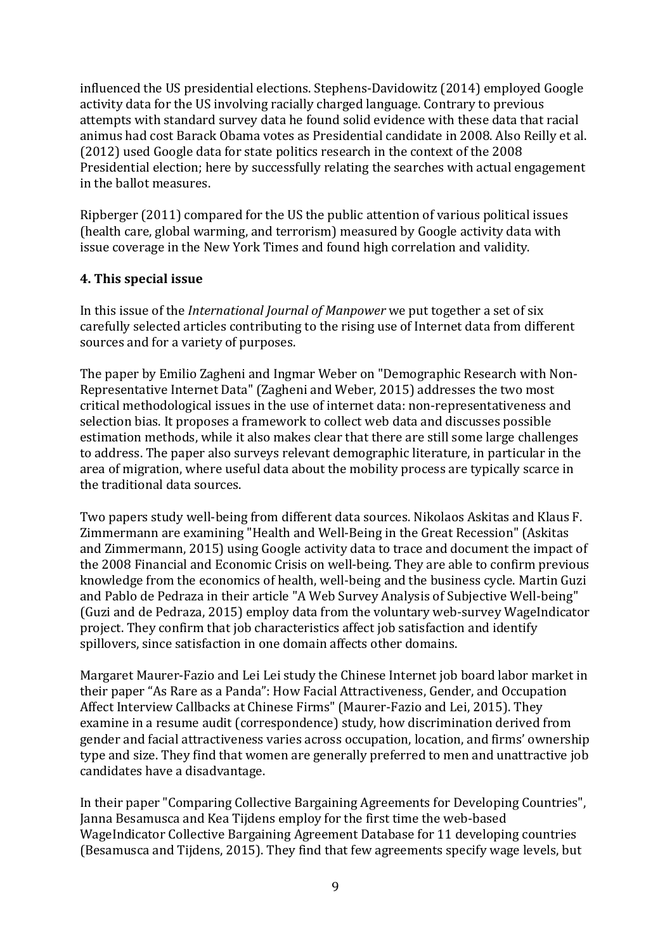influenced the US presidential elections. Stephens-Davidowitz (2014) employed Google activity data for the US involving racially charged language. Contrary to previous attempts with standard survey data he found solid evidence with these data that racial animus had cost Barack Obama votes as Presidential candidate in 2008. Also Reilly et al. (2012) used Google data for state politics research in the context of the 2008 Presidential election; here by successfully relating the searches with actual engagement in the ballot measures.

Ripberger (2011) compared for the US the public attention of various political issues (health care, global warming, and terrorism) measured by Google activity data with issue coverage in the New York Times and found high correlation and validity.

#### **4. This special issue**

In this issue of the *International Journal of Manpower* we put together a set of six carefully selected articles contributing to the rising use of Internet data from different sources and for a variety of purposes.

The paper by Emilio Zagheni and Ingmar Weber on "Demographic Research with Non-Representative Internet Data" (Zagheni and Weber, 2015) addresses the two most critical methodological issues in the use of internet data: non-representativeness and selection bias. It proposes a framework to collect web data and discusses possible estimation methods, while it also makes clear that there are still some large challenges to address. The paper also surveys relevant demographic literature, in particular in the area of migration, where useful data about the mobility process are typically scarce in the traditional data sources.

Two papers study well-being from different data sources. Nikolaos Askitas and Klaus F. Zimmermann are examining "Health and Well-Being in the Great Recession" (Askitas and Zimmermann, 2015) using Google activity data to trace and document the impact of the 2008 Financial and Economic Crisis on well-being. They are able to confirm previous knowledge from the economics of health, well-being and the business cycle. Martin Guzi and Pablo de Pedraza in their article "A Web Survey Analysis of Subjective Well-being" (Guzi and de Pedraza, 2015) employ data from the voluntary web-survey WageIndicator project. They confirm that job characteristics affect job satisfaction and identify spillovers, since satisfaction in one domain affects other domains.

Margaret Maurer-Fazio and Lei Lei study the Chinese Internet job board labor market in their paper "As Rare as a Panda": How Facial Attractiveness, Gender, and Occupation Affect Interview Callbacks at Chinese Firms" (Maurer-Fazio and Lei, 2015). They examine in a resume audit (correspondence) study, how discrimination derived from gender and facial attractiveness varies across occupation, location, and firms' ownership type and size. They find that women are generally preferred to men and unattractive job candidates have a disadvantage.

In their paper "Comparing Collective Bargaining Agreements for Developing Countries", Janna Besamusca and Kea Tijdens employ for the first time the web-based WageIndicator Collective Bargaining Agreement Database for 11 developing countries (Besamusca and Tijdens, 2015). They find that few agreements specify wage levels, but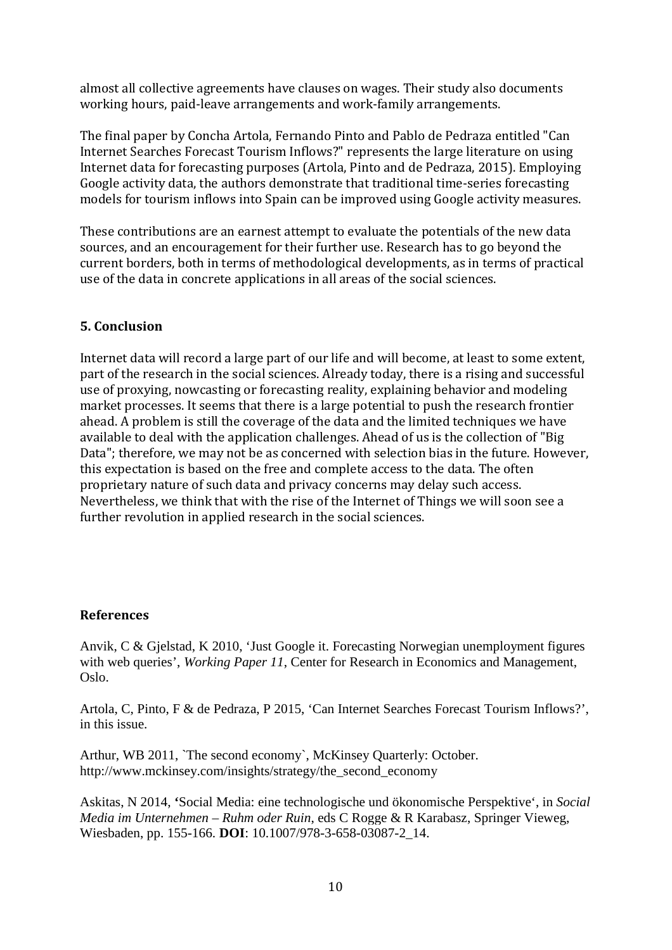almost all collective agreements have clauses on wages. Their study also documents working hours, paid-leave arrangements and work-family arrangements.

The final paper by Concha Artola, Fernando Pinto and Pablo de Pedraza entitled "Can Internet Searches Forecast Tourism Inflows?" represents the large literature on using Internet data for forecasting purposes (Artola, Pinto and de Pedraza, 2015). Employing Google activity data, the authors demonstrate that traditional time-series forecasting models for tourism inflows into Spain can be improved using Google activity measures.

These contributions are an earnest attempt to evaluate the potentials of the new data sources, and an encouragement for their further use. Research has to go beyond the current borders, both in terms of methodological developments, as in terms of practical use of the data in concrete applications in all areas of the social sciences.

#### **5. Conclusion**

Internet data will record a large part of our life and will become, at least to some extent, part of the research in the social sciences. Already today, there is a rising and successful use of proxying, nowcasting or forecasting reality, explaining behavior and modeling market processes. It seems that there is a large potential to push the research frontier ahead. A problem is still the coverage of the data and the limited techniques we have available to deal with the application challenges. Ahead of us is the collection of "Big Data"; therefore, we may not be as concerned with selection bias in the future. However, this expectation is based on the free and complete access to the data. The often proprietary nature of such data and privacy concerns may delay such access. Nevertheless, we think that with the rise of the Internet of Things we will soon see a further revolution in applied research in the social sciences.

#### **References**

Anvik, C & Gjelstad, K 2010, 'Just Google it. Forecasting Norwegian unemployment figures with web queries', *Working Paper 11*, Center for Research in Economics and Management, Oslo.

Artola, C, Pinto, F & de Pedraza, P 2015, 'Can Internet Searches Forecast Tourism Inflows?', in this issue.

Arthur, WB 2011, `The second economy`, McKinsey Quarterly: October. http://www.mckinsey.com/insights/strategy/the\_second\_economy

Askitas, N 2014, **'**Social Media: eine technologische und ökonomische Perspektive', in *Social Media im Unternehmen – Ruhm oder Ruin*, eds C Rogge & R Karabasz, Springer Vieweg, Wiesbaden, pp. 155-166. **DOI**: 10.1007/978-3-658-03087-2\_14.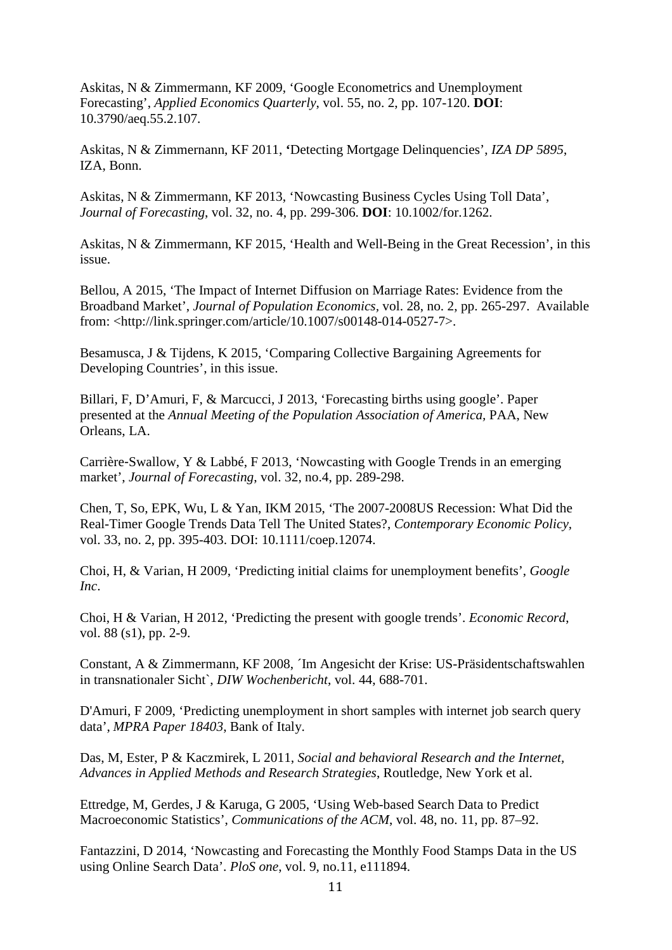Askitas, N & Zimmermann, KF 2009, 'Google Econometrics and Unemployment Forecasting', *Applied Economics Quarterly*, vol. 55, no. 2, pp. 107-120. **DOI**: 10.3790/aeq.55.2.107.

Askitas, N & Zimmernann, KF 2011, **'**Detecting Mortgage Delinquencies', *IZA DP 5895*, IZA, Bonn.

Askitas, N & Zimmermann, KF 2013, 'Nowcasting Business Cycles Using Toll Data', *Journal of Forecasting*, vol. 32, no. 4, pp. 299-306. **DOI**: 10.1002/for.1262.

Askitas, N & Zimmermann, KF 2015, 'Health and Well-Being in the Great Recession', in this issue.

Bellou, A 2015, 'The Impact of Internet Diffusion on Marriage Rates: Evidence from the Broadband Market', *Journal of Population Economics,* vol. 28, no. 2, pp. 265-297. Available from: [<http://link.springer.com/article/10.1007/s00148-014-0527-7>](http://link.springer.com/article/10.1007/s00148-014-0527-7).

Besamusca, J & Tijdens, K 2015, 'Comparing Collective Bargaining Agreements for Developing Countries', in this issue.

Billari, F, D'Amuri, F, & Marcucci, J 2013, 'Forecasting births using google'. Paper presented at the *Annual Meeting of the Population Association of America,* PAA, New Orleans, LA.

Carrière-Swallow, Y & Labbé, F 2013, 'Nowcasting with Google Trends in an emerging market', *Journal of Forecasting*, vol. 32, no.4, pp. 289-298.

Chen, T, So, EPK, Wu, L & Yan, IKM 2015, 'The 2007-2008US Recession: What Did the Real-Timer Google Trends Data Tell The United States?, *Contemporary Economic Policy,*  vol. 33, no. 2, pp. 395-403. DOI: 10.1111/coep.12074.

Choi, H, & Varian, H 2009, 'Predicting initial claims for unemployment benefits', *Google Inc*.

Choi, H & Varian, H 2012, 'Predicting the present with google trends'. *Economic Record*, vol. 88 (s1), pp. 2-9.

Constant, A & Zimmermann, KF 2008, ´Im Angesicht der Krise: US-Präsidentschaftswahlen in transnationaler Sicht`, *DIW Wochenbericht*, vol. 44, 688-701.

D'Amuri, F 2009, 'Predicting unemployment in short samples with internet job search query data', *MPRA Paper 18403*, Bank of Italy.

Das, M, Ester, P & Kaczmirek, L 2011, *Social and behavioral Research and the Internet, Advances in Applied Methods and Research Strategies*, Routledge, New York et al.

Ettredge, M, Gerdes, J & Karuga, G 2005, 'Using Web-based Search Data to Predict Macroeconomic Statistics', *Communications of the ACM*, vol. 48, no. 11, pp. 87–92.

Fantazzini, D 2014, 'Nowcasting and Forecasting the Monthly Food Stamps Data in the US using Online Search Data'. *PloS one*, vol. 9, no.11, e111894.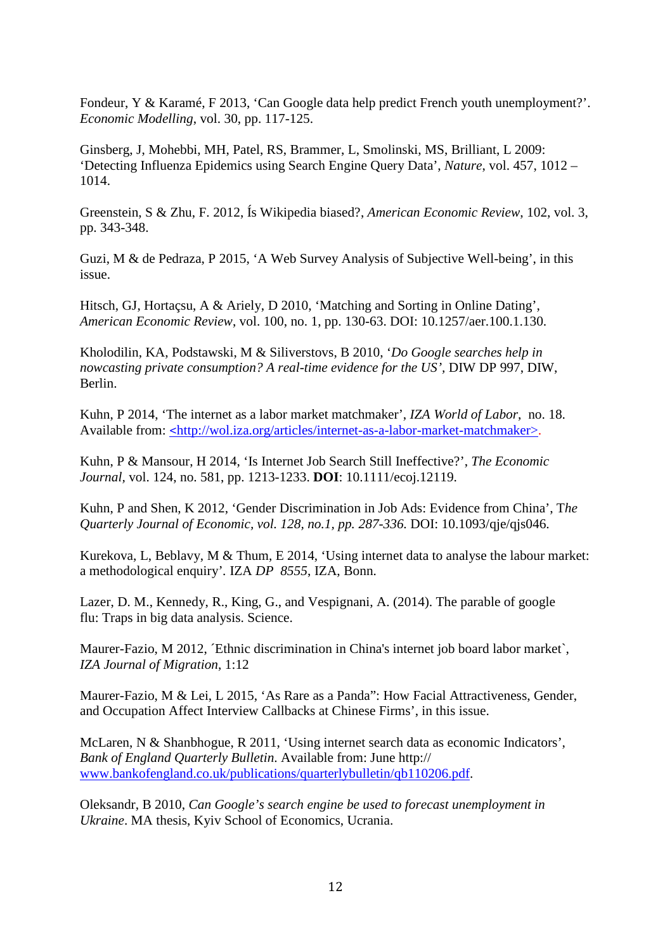Fondeur, Y & Karamé, F 2013, 'Can Google data help predict French youth unemployment?'. *Economic Modelling*, vol. 30, pp. 117-125.

Ginsberg, J, Mohebbi, MH, Patel, RS, Brammer, L, Smolinski, MS, Brilliant, L 2009: 'Detecting Influenza Epidemics using Search Engine Query Data', *Nature*, vol. 457, 1012 – 1014.

Greenstein, S & Zhu, F. 2012, Ís Wikipedia biased?, *American Economic Review*, 102, vol. 3, pp. 343-348.

Guzi, M & de Pedraza, P 2015, 'A Web Survey Analysis of Subjective Well-being', in this issue.

Hitsch, GJ, Hortaçsu, A & Ariely, D 2010, 'Matching and Sorting in Online Dating', *American Economic Review*, vol. 100, no. 1, pp. 130-63. DOI: 10.1257/aer.100.1.130.

Kholodilin, KA, Podstawski, M & Siliverstovs, B 2010, '*Do Google searches help in nowcasting private consumption? A real-time evidence for the US',* DIW DP 997, DIW, Berlin.

Kuhn, P 2014, 'The internet as a labor market matchmaker', *IZA World of Labor*, no. 18. Available from: <[http://wol.iza.org/articles/internet-as-a-labor-market-matchmaker>.](http://wol.iza.org/articles/internet-as-a-labor-market-matchmaker%3e)

Kuhn, P & Mansour, H 2014, 'Is Internet Job Search Still Ineffective?', *The Economic Journal,* vol. 124, no. 581, pp. 1213-1233. **DOI**: 10.1111/ecoj.12119.

Kuhn, P and Shen, K 2012, 'Gender Discrimination in Job Ads: Evidence from China', T*he Quarterly Journal of Economic, vol. 128, no.1, pp. 287-336.* DOI: 10.1093/qje/qjs046.

Kurekova, L, Beblavy, M & Thum, E 2014, 'Using internet data to analyse the labour market: a methodological enquiry'*.* IZA *DP 8555*, IZA, Bonn.

Lazer, D. M., Kennedy, R., King, G., and Vespignani, A. (2014). The parable of google flu: Traps in big data analysis. Science.

Maurer-Fazio, M 2012, *Ethnic discrimination in China's internet job board labor market*, *IZA Journal of Migration*, 1:12

Maurer-Fazio, M & Lei, L 2015, 'As Rare as a Panda": How Facial Attractiveness, Gender, and Occupation Affect Interview Callbacks at Chinese Firms', in this issue.

McLaren, N & Shanbhogue, R 2011, 'Using internet search data as economic Indicators', *Bank of England Quarterly Bulletin*. Available from: June http:// [www.bankofengland.co.uk/publications/quarterlybulletin/qb110206.pdf.](http://www.bankofengland.co.uk/publications/quarterlybulletin/qb110206.pdf)

Oleksandr, B 2010, *Can Google's search engine be used to forecast unemployment in Ukraine*. MA thesis, Kyiv School of Economics, Ucrania.